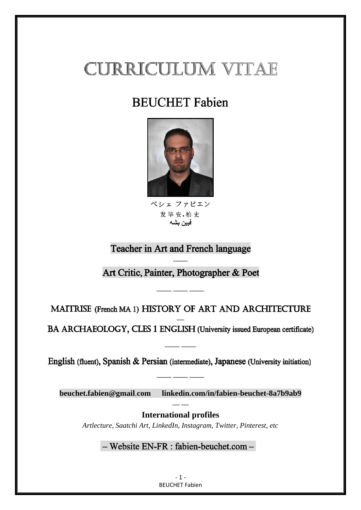# **CURRICULUM VITAE**

## **BEUCHET** Fabien



ベシェ ファビエン 发毕安.柏史 فبين بشه

## Teacher in Art and French language

**——** Art Critic, Painter, Photographer & Poet

MAITRISE (French MA 1) HISTORY OF ART AND ARCHITECTURE

**—— —— ——**

**—** BA ARCHAEOLOGY, CLES 1 ENGLISH (University issued European certificate)

English (fluent), Spanish & Persian (intermediate), Japanese (University initiation)

**—— ——**

**[beuchet.fabien@gmail](mailto:beuchet.fabien@gmail.com)**.**com linkedin.com/in/fabien-beuchet-8a7b9ab9 — —**

**—— —— ——**

**International profiles** *Artlecture, Saatchi Art, LinkedIn, Instagram, Twitter, Pinterest, etc*

- Website EN-FR : fabien-beuchet.com -

- 1 - BEUCHET Fabien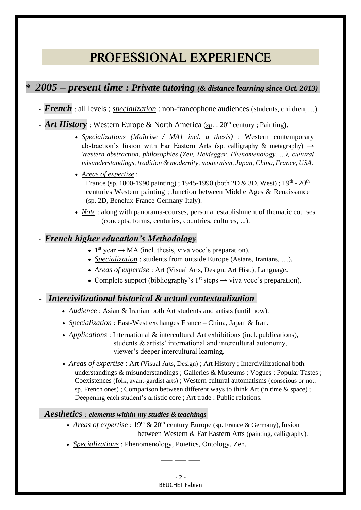## PROFESSIONAL EXPERIENCE

## **\*** *2005 – present time : Private tutoring (& distance learning since Oct. 2013)*

- *French* : all levels ; *specialization* : non-francophone audiences (students, children,…)
- **Art History** : Western Europe & North America (sp. : 20<sup>th</sup> century ; Painting).
	- *Specializations (Maîtrise / MA1 incl. a thesis)* : Western contemporary abstraction's fusion with Far Eastern Arts (sp. calligraphy & metagraphy) *→ Western abstraction, philosophies (Zen, Heidegger, Phenomenology, …), cultural misunderstandings, tradition & modernity, modernism, Japan, China, France, USA.*
	- *Areas of expertise* : France (sp. 1800-1990 painting) ; 1945-1990 (both 2D & 3D, West) ;  $19^{th}$  -  $20^{th}$ centuries Western painting ; Junction between Middle Ages & Renaissance (sp. 2D, Benelux-France-Germany-Italy).
	- *Note* : along with panorama-courses, personal establishment of thematic courses (concepts, forms, centuries, countries, cultures, ...).

#### *- French higher education's Methodology* :

- 1<sup>st</sup> year  $\rightarrow$  MA (incl. thesis, viva voce's preparation).
- *Specialization* : students from outside Europe (Asians, Iranians, …).
- *Areas of expertise* : Art (Visual Arts, Design, Art Hist.), Language.
- Complete support (bibliography's  $1<sup>st</sup>$  steps  $\rightarrow$  viva voce's preparation).

#### *- Intercivilizational historical & actual contextualization*

- *Audience* : Asian & Iranian both Art students and artists (until now).
- *Specialization* : East-West exchanges France China, Japan & Iran.
- *Applications* : International & intercultural Art exhibitions (incl. publications), students & artists' international and intercultural autonomy, viewer's deeper intercultural learning.
- *Areas of expertise* : Art (Visual Arts, Design) ; Art History ; Intercivilizational both understandings & misunderstandings ; Galleries & Museums ; Vogues ; Popular Tastes ; Coexistences (folk, avant-gardist arts) ; Western cultural automatisms (conscious or not, sp. French ones) ; Comparison between different ways to think Art (in time & space) ; Deepening each student's artistic core ; Art trade ; Public relations.

#### - *Aesthetics : elements within my studies & teachings*

- *Areas of expertise* :  $19<sup>th</sup> \& 20<sup>th</sup>$  century Europe (sp. France & Germany), fusion between Western & Far Eastern Arts (painting, calligraphy).
- *Specializations* : Phenomenology, Poietics, Ontology, Zen.

- 2 - BEUCHET Fabien

**— — —**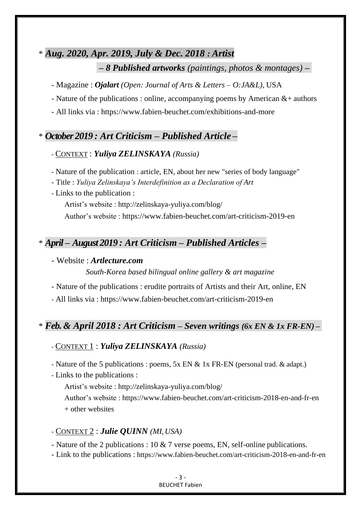## \* *Aug. 2020, Apr. 2019, July & Dec. 2018 : Artist*

*– 8 Published artworks (paintings, photos & montages) –*

- Magazine : *Ojalart (Open: Journal of Arts & Letters – O:JA&L)*, USA
- Nature of the publications : online, accompanying poems by American  $&+$  authors
- All links via : <https://www.fabien-beuchet.com/exhibitions-and-more>

## \* *October 2019 : Art Criticism – Published Article –*

#### - CONTEXT : *Yuliya ZELINSKAYA (Russia)*

- Nature of the publication : article, EN, about her new "series of body language"
- Title : *Yuliya Zelinskaya's Interdefinition as a Declaration of Art*
- Links to the publication :

Artist's website :<http://zelinskaya-yuliya.com/blog/>

Author's website : <https://www.fabien-beuchet.com/art-criticism-2019-en>

## \* *April – August 2019 : Art Criticism – Published Articles –*

#### - Website : *Artlecture.com*

*South-Korea based bilingual online gallery & art magazine*

- Nature of the publications : erudite portraits of Artists and their Art, online, EN

- All links via : <https://www.fabien-beuchet.com/art-criticism-2019-en>

## \* *Feb. & April 2018 : Art Criticism – Seven writings (6x EN & 1x FR-EN) –*

#### - CONTEXT 1 : *Yuliya ZELINSKAYA (Russia)*

- Nature of the 5 publications : poems, 5x EN & 1x FR-EN (personal trad. & adapt.)

- Links to the publications :

Artist's website :<http://zelinskaya-yuliya.com/blog/>

Author's website :<https://www.fabien-beuchet.com/art-criticism-2018-en-and-fr-en> + other websites

#### - CONTEXT 2 : *Julie QUINN (MI,USA)*

- Nature of the 2 publications : 10 & 7 verse poems, EN, self-online publications.

- Link to the publications : ht[tps://www.fabien-beuchet.com/art-criticism-2018-en-and-fr-en](http://www.fabien-beuchet.com/art-criticism-2018-en-and-fr-en)

#### - 3 - BEUCHET Fabien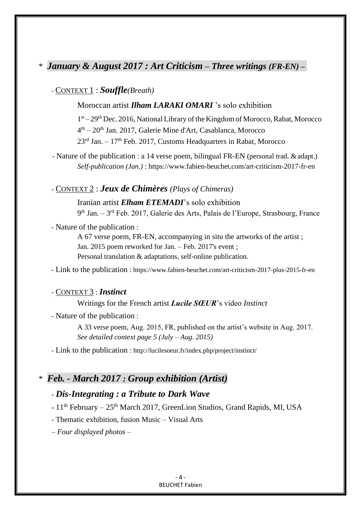## \* *January & August 2017 : Art Criticism – Three writings (FR-EN) –*

## - CONTEXT 1 : *Souffle(Breath)*

Moroccan artist *Ilham LARAKI OMARI* 's solo exhibition

1<sup>st</sup> – 29<sup>th</sup> Dec. 2016, National Library of the Kingdom of Morocco, Rabat, Morocco 4 th – 20th Jan. 2017, Galerie Mine d'Art, Casablanca, Morocco  $23<sup>rd</sup>$  Jan. –  $17<sup>th</sup>$  Feb. 2017, Customs Headquarters in Rabat, Morocco

- Nature of the publication : a 14 verse poem, bilingual FR-EN (personal trad. & adapt.) *Self-publication (Jan.)* : https:[//www.fabien-beuchet.com/art-criticism-2017-fr-en](http://www.fabien-beuchet.com/art-criticism-2017-fr-en)

#### - CONTEXT 2 : *Jeux de Chimères (Plays of Chimeras)*

Iranian artist *Elham ETEMADI*'s solo exhibition 9<sup>th</sup> Jan. – 3<sup>rd</sup> Feb. 2017, Galerie des Arts, Palais de l'Europe, Strasbourg, France

- Nature of the publication :

A 67 verse poem, FR-EN, accompanying in situ the artworks of the artist ; Jan. 2015 poem reworked for Jan. – Feb. 2017's event ; Personal translation & adaptations, self-online publication.

- Link to the publication : https:/[/www.fabien-beuchet.com/art-criticism-2017-plus-2015-fr-en](http://www.fabien-beuchet.com/art-criticism-2017-plus-2015-fr-en)

#### - CONTEXT 3 : *Instinct*

#### Writings for the French artist *Lucile SŒUR*'s video *Instinct*

- Nature of the publication :

A 33 verse poem, Aug. 2015, FR, published on the artist's website in Aug. 2017. *See detailed context page 5 (July – Aug. 2015)*

- Link to the publication : <http://lucilesoeur.fr/index.php/project/instinct/>

#### \* *Feb. - March 2017 : Group exhibition (Artist) <sup>u</sup>*

#### - *Dis-Integrating : a Tribute to Dark Wave*

- 11<sup>th</sup> February – 25<sup>th</sup> March 2017, GreenLion Studios, Grand Rapids, MI, USA

- Thematic exhibition, fusion Music – Visual Arts

*– Four displayed photos –*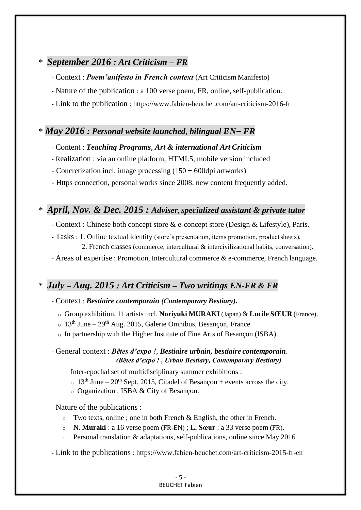## \* *September 2016 : Art Criticism – FR <sup>u</sup>*

- Context : *Poem'anifesto in French context* (Art Criticism Manifesto)
- Nature of the publication : a 100 verse poem, FR, online, self-publication.
- Link to the publication : https:/[/www.fabien-beuchet.com/art-criticism-2016-fr](http://www.fabien-beuchet.com/art-criticism-2016-fr)

## \* *May 2016 : Personal website launched, bilingual EN– FR <sup>u</sup>*

#### - Content : *Teaching Programs, Art & international Art Criticism*

- Realization : via an online platform, HTML5, mobile version included
- Concretization incl. image processing (150 + 600dpi artworks)
- Https connection, personal works since 2008, new content frequently added.

## \* *April, Nov. & Dec. 2015 : Adviser, specialized assistant & private tutor <sup>u</sup>*

- Context : Chinese both concept store & e-concept store (Design & Lifestyle), Paris.
- Tasks : 1. Online textual identity (store's presentation, items promotion, productsheets), 2. French classes (commerce, intercultural & intercivilizational habits, conversation).
- Areas of expertise : Promotion, Intercultural commerce & e-commerce, French language.

## \* *July – Aug. 2015 : Art Criticism – Two writings EN-FR & FR<sup>u</sup>*

#### - Context : *Bestiaire contemporain (Contemporary Bestiary).*

- o Group exhibition, 11 artists incl. **Noriyuki MURAKI** (Japan) & **Lucile SŒUR** (France).
- $\delta$  13<sup>th</sup> June 29<sup>th</sup> Aug. 2015, Galerie Omnibus, Besancon, France.
- o In partnership with the Higher Institute of Fine Arts of Besançon (ISBA).

#### - General context : *Bêtes d'expo !, Bestiaire urbain, bestiaire contemporain*. *(Bêtes d'expo ! , Urban Bestiary, Contemporary Bestiary)*

Inter-epochal set of multidisciplinary summer exhibitions :

 $\sim 13^{th}$  June – 20<sup>th</sup> Sept. 2015, Citadel of Besancon + events across the city.

o Organization : ISBA & City of Besançon.

- Nature of the publications :
	- $\circ$  Two texts, online; one in both French & English, the other in French.
	- o **N. Muraki** : a 16 verse poem (FR-EN) ; **L. Sœur** : a 33 verse poem (FR).
	- $\circ$  Personal translation & adaptations, self-publications, online since May 2016
- Link to the publications : https:[//www.fabien-beuchet.com/art-criticism-2015-fr-en](http://www.fabien-beuchet.com/art-criticism-2015-fr-en)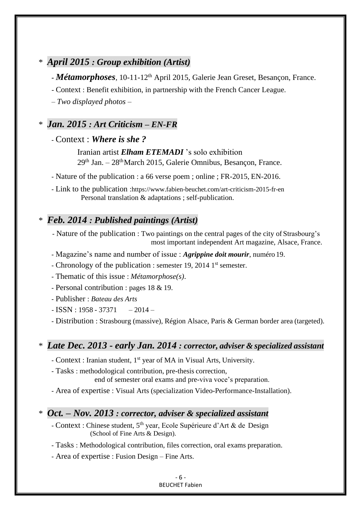## \* *April 2015 : Group exhibition (Artist) <sup>u</sup>*

*- Métamorphoses*, 10-11-12th April 2015, Galerie Jean Greset, Besançon, France.

- Context : Benefit exhibition, in partnership with the French Cancer League.

– *Two displayed photos –*

## \* *Jan. 2015 : Art Criticism – EN-FR <sup>u</sup>*

- Context : *Where is she ?*

Iranian artist *Elham ETEMADI* 's solo exhibition 29th Jan. – 28thMarch 2015, Galerie Omnibus, Besançon, France.

- Nature of the publication : a 66 verse poem ; online ; FR-2015, EN-2016.

- Link to the publication :https:/[/www.fabien-beuchet.com/art-criticism-2015-fr-en](http://www.fabien-beuchet.com/art-criticism-2015-fr-en) Personal translation & adaptations ; self-publication.

## \* *Feb. 2014 : Published paintings (Artist) <sup>u</sup>*

- Nature of the publication : Two paintings on the central pages of the city of Strasbourg's most important independent Art magazine, Alsace, France.

- Magazine's name and number of issue : *Agrippine doit mourir*, numéro 19.

- Chronology of the publication : semester 19, 2014 1<sup>st</sup> semester.

- Thematic of this issue : *Métamorphose(s)*.

- Personal contribution : pages 18 & 19.

- Publisher : *Bateau des Arts*

 $-$  ISSN : 1958 - 37371  $-$  2014 -

- Distribution : Strasbourg (massive), Région Alsace, Paris & German border area (targeted).

#### \* *Late Dec. 2013 - early Jan. 2014 : corrector, adviser & specialized assistant <sup>u</sup>*

- Context : Iranian student, 1<sup>st</sup> year of MA in Visual Arts, University.

- Tasks : methodological contribution, pre-thesis correction,

end of semester oral exams and pre-viva voce's preparation.

- Area of expertise : Visual Arts (specialization Video-Performance-Installation).

## \* *Oct. – Nov. 2013 : corrector, adviser & specialized assistant <sup>u</sup>*

- Context : Chinese student, 5<sup>th</sup> year, Ecole Supérieure d'Art & de Design (School of Fine Arts & Design).
- Tasks : Methodological contribution, files correction, oral exams preparation.
- Area of expertise : Fusion Design Fine Arts.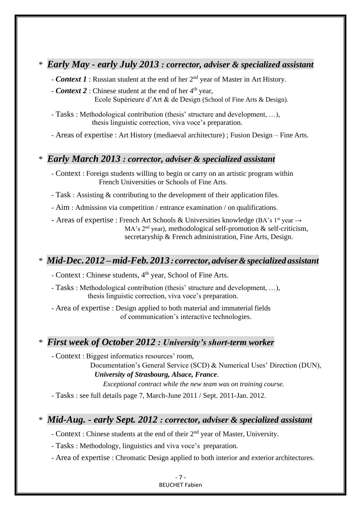### \* *Early May - early July 2013 : corrector, adviser & specialized assistant <sup>u</sup>*

- **Context 1** : Russian student at the end of her 2<sup>nd</sup> year of Master in Art History.
- **Context 2** : Chinese student at the end of her 4<sup>th</sup> year, Ecole Supérieure d'Art & de Design (School of Fine Arts & Design).
- Tasks : Methodological contribution (thesis' structure and development, …), thesis linguistic correction, viva voce's preparation.

- Areas of expertise : Art History (mediaeval architecture) ; Fusion Design – Fine Arts.

#### \* *Early March 2013 : corrector, adviser & specialized assistant <sup>u</sup>*

- Context : Foreign students willing to begin or carry on an artistic program within French Universities or Schools of Fine Arts.
- Task : Assisting & contributing to the development of their application files.

- Aim : Admission via competition / entrance examination / on qualifications.

- Areas of expertise : French Art Schools & Universities knowledge (BA's 1<sup>st</sup> year  $\rightarrow$ MA's  $2<sup>nd</sup>$  year), methodological self-promotion & self-criticism, secretaryship & French administration, Fine Arts, Design.

## \* *Mid-Dec. 2012 –mid-Feb. 2013 : corrector, adviser&specialized assistant <sup>u</sup>*

- Context : Chinese students, 4<sup>th</sup> year, School of Fine Arts.

- Tasks : Methodological contribution (thesis' structure and development, …), thesis linguistic correction, viva voce's preparation.

- Area of expertise : Design applied to both material and immaterial fields of communication's interactive technologies.

### \* *First week of October 2012 : University's short-term worker <sup>u</sup>*

- Context : Biggest informatics resources' room,

Documentation's General Service (SCD) & Numerical Uses' Direction (DUN), *University of Strasbourg, Alsace, France*.

*Exceptional contract while the new team was on training course.*

- Tasks : see full details page 7, March-June 2011 / Sept. 2011-Jan. 2012.

## \* *Mid-Aug. - early Sept. 2012 : corrector, adviser & specialized assistant <sup>u</sup>*

- Context : Chinese students at the end of their 2<sup>nd</sup> year of Master, University.

- Tasks : Methodology, linguistics and viva voce's preparation.

- Area of expertise : Chromatic Design applied to both interior and exterior architectures.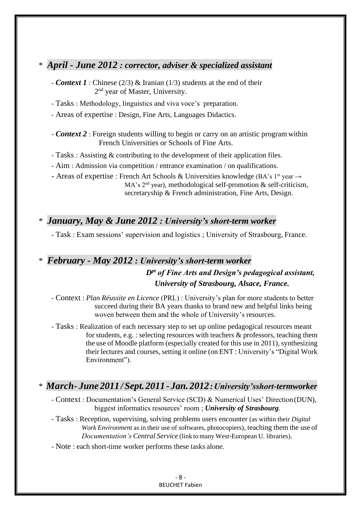## \* *April - June 2012 : corrector, adviser & specialized assistant <sup>u</sup>*

- *Context 1* : Chinese (2/3) & Iranian (1/3) students at the end of their 2<sup>nd</sup> year of Master, University.
- Tasks : Methodology, linguistics and viva voce's preparation.
- Areas of expertise : Design, Fine Arts, Languages Didactics.
- *Context 2* : Foreign students willing to begin or carry on an artistic programwithin French Universities or Schools of Fine Arts.
- Tasks : Assisting & contributing to the development of their application files.
- Aim : Admission via competition / entrance examination / on qualifications.
- Areas of expertise : French Art Schools & Universities knowledge (BA's 1<sup>st</sup> year  $\rightarrow$ MA's  $2<sup>nd</sup>$  year), methodological self-promotion & self-criticism, secretaryship & French administration, Fine Arts, Design.

## \* *January, May & June 2012 : University's short-term worker <sup>u</sup>*

- Task : Exam sessions' supervision and logistics ; University of Strasbourg, France.

## \* *February - May 2012 : University's short-term worker <sup>u</sup> Dpt of Fine Arts and Design's pedagogical assistant, University of Strasbourg, Alsace, France.*

- Context : *Plan Réussite en Licence* (PRL) : University's plan for more students to better succeed during their BA years thanks to brand new and helpful links being woven between them and the whole of University's resources.
- Tasks : Realization of each necessary step to set up online pedagogical resources meant for students, e.g. : selecting resources with teachers & professors, teaching them the use of Moodle platform (especially created for this use in 2011), synthesizing their lectures and courses, setting it online (on ENT : University's "Digital Work Environment").

## \* *March- June 2011 /Sept. 2011 - Jan. 2012:University'sshort-termworker <sup>u</sup>*

- Context : Documentation's General Service (SCD) & Numerical Uses' Direction(DUN), biggest informatics resources' room ; *University of Strasbourg*.
- Tasks : Reception, supervising, solving problems users encounter (as within their *Digital Work Environment* as in their use of softwares, photocopiers), teaching them the use of *Documentation's Central Service* (link to many West-European U. libraries).
- Note : each short-time worker performs these tasks alone.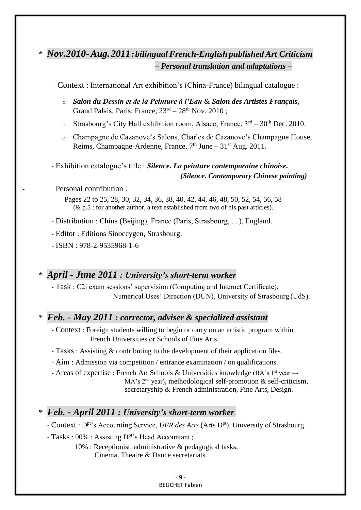## \* *Nov.2010-Aug.2011:bilingualFrench-English publishedArt Criticism <sup>u</sup> – Personal translation and adaptations – <sup>u</sup>*

- Context : International Art exhibition's (China-France) bilingual catalogue :

- o *Salon du Dessin et de la Peinture à l'Eau* & *Salon des Artistes Français*, Grand Palais, Paris, France,  $23<sup>rd</sup> - 28<sup>th</sup>$  Nov. 2010;
- $\circ$  Strasbourg's City Hall exhibition room, Alsace, France,  $3^{rd} 30^{th}$  Dec. 2010.
- o Champagne de Cazanove's Salons, Charles de Cazanove's Champagne House, Reims, Champagne-Ardenne, France,  $7<sup>th</sup>$  June –  $31<sup>st</sup>$  Aug. 2011.

- Exhibition catalogue's title : *Silence. La peinture contemporaine chinoise. (Silence. Contemporary Chinese painting)*

Personal contribution :

Pages 22 to 25, 28, 30, 32, 34, 36, 38, 40, 42, 44, 46, 48, 50, 52, 54, 56, 58  $(\&$  p.5 : for another author, a text established from two of his past articles).

- Distribution : China (Beijing), France (Paris, Strasbourg, …), England.

- Editor : Editions Sinoccygen, Strasbourg.

- ISBN : 978-2-9535968-1-6

#### \* *April - June 2011 : University's short-term worker <sup>u</sup>*

- Task : C2i exam sessions' supervision (Computing and Internet Certificate), Numerical Uses' Direction (DUN), University of Strasbourg (UdS).

#### \* *Feb. - May 2011 : corrector, adviser & specialized assistant <sup>u</sup>*

- Context : Foreign students willing to begin or carry on an artistic program within French Universities or Schools of Fine Arts.

- Tasks : Assisting & contributing to the development of their application files.

- Aim : Admission via competition / entrance examination / on qualifications.

- Areas of expertise : French Art Schools & Universities knowledge (BA's 1<sup>st</sup> year  $\rightarrow$ MA's  $2<sup>nd</sup>$  year), methodological self-promotion & self-criticism, secretaryship & French administration, Fine Arts, Design.

## \* *Feb. - April 2011 : University's short-term worker*

- Context : D<sup>pt</sup>'s Accounting Service, *UFR des Arts* (Arts D<sup>pt</sup>), University of Strasbourg.

- Tasks :  $90\%$  : Assisting  $D<sup>pt</sup>$ 's Head Accountant ;
	- 10% : Receptionist, administrative & pedagogical tasks, Cinema, Theatre & Dance secretariats.

- 9 - BEUCHET Fabien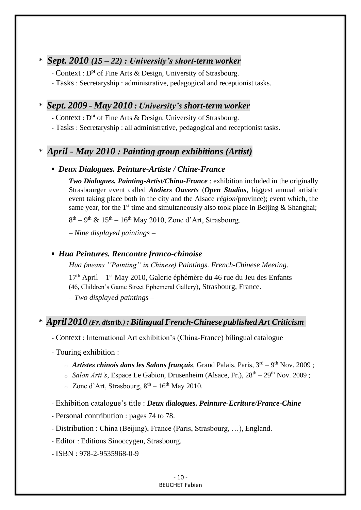## \* *Sept. 2010 (15 – 22) : University's short-term worker <sup>u</sup>*

- Context : D<sup>pt</sup> of Fine Arts & Design, University of Strasbourg.

- Tasks : Secretaryship : administrative, pedagogical and receptionist tasks.

## \* *Sept. 2009 - May 2010 : University's short-term worker <sup>u</sup>*

- Context : D<sup>pt</sup> of Fine Arts & Design, University of Strasbourg.

- Tasks : Secretaryship : all administrative, pedagogical and receptionist tasks.

## \* *April - May 2010 : Painting group exhibitions (Artist) <sup>u</sup>*

## **▪** *Deux Dialogues. Peinture-Artiste / Chine-France*

*Two Dialogues. Painting-Artist/China-France* : exhibition included in the originally Strasbourger event called *Ateliers Ouverts* (*Open Studios*, biggest annual artistic event taking place both in the city and the Alsace *région*/province); event which, the same year, for the  $1<sup>st</sup>$  time and simultaneously also took place in Beijing & Shanghai;

 $8<sup>th</sup> - 9<sup>th</sup>$  &  $15<sup>th</sup> - 16<sup>th</sup>$  May 2010, Zone d'Art, Strasbourg.

*– Nine displayed paintings –*

### **▪** *Hua Peintures. Rencontre franco-chinoise*

*Hua (means ''Painting'' in Chinese) Paintings. French-Chinese Meeting.*

17<sup>th</sup> April – 1<sup>st</sup> May 2010, Galerie éphémère du 46 rue du Jeu des Enfants (46, Children's Game Street Ephemeral Gallery), Strasbourg, France. *– Two displayed paintings –*

## \* *April2010 (Fr. distrib.) :BilingualFrench-Chinese publishedArt Criticism*

- Context : International Art exhibition's (China-France) bilingual catalogue

- Touring exhibition :
	- o Artistes chinois dans les Salons français, Grand Palais, Paris, 3<sup>rd</sup> 9<sup>th</sup> Nov. 2009;
	- o *Salon Arti's*, Espace Le Gabion, Drusenheim (Alsace, Fr.), 28<sup>th</sup> 29<sup>th</sup> Nov. 2009;
	- $\circ$  Zone d'Art, Strasbourg,  $8<sup>th</sup> 16<sup>th</sup>$  May 2010.
- Exhibition catalogue's title : *Deux dialogues. Peinture-Ecriture/France-Chine*
- Personal contribution : pages 74 to 78.
- Distribution : China (Beijing), France (Paris, Strasbourg, …), England.
- Editor : Editions Sinoccygen, Strasbourg.

- ISBN : 978-2-9535968-0-9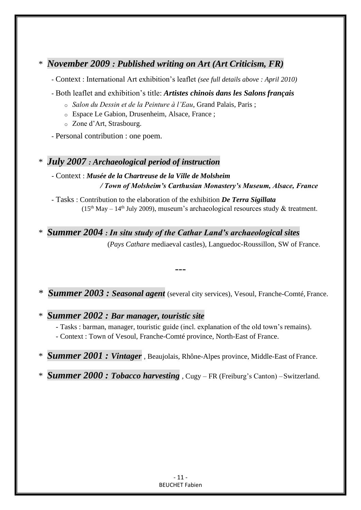## \* *November 2009 : Published writing on Art (Art Criticism, FR) <sup>u</sup>*

- Context : International Art exhibition's leaflet *(see full details above : April 2010)*

- Both leaflet and exhibition's title: *Artistes chinois dans les Salons français*
	- o *Salon du Dessin et de la Peinture à l'Eau*, Grand Palais, Paris ;
	- o Espace Le Gabion, Drusenheim, Alsace, France ;
	- o Zone d'Art, Strasbourg.
- Personal contribution : one poem.

## \* *July 2007 : Archaeological period of instruction <sup>u</sup>*

#### - Context : *Musée de la Chartreuse de la Ville de Molsheim / Town of Molsheim's Carthusian Monastery's Museum, Alsace, France*

- Tasks : Contribution to the elaboration of the exhibition *De Terra Sigillata*  $(15<sup>th</sup>$  May – 14<sup>th</sup> July 2009), museum's archaeological resources study & treatment.

\* *Summer 2004 : In situ study of the Cathar Land's archaeological sites <sup>u</sup>*

(*Pays Cathare* mediaeval castles), Languedoc-Roussillon, SW of France.

\* *Summer 2003 : Seasonal agent* (several city services), Vesoul, Franche-Comté, France.

---

\* *Summer 2002 : Bar manager, touristic site <sup>u</sup>*

- Tasks : barman, manager, touristic guide (incl. explanation of the old town's remains).

- Context : Town of Vesoul, Franche-Comté province, North-East of France.
- \* *Summer 2001 : Vintager* , Beaujolais, Rhône-Alpes province, Middle-East of France.

\* *Summer 2000 : Tobacco harvesting* , Cugy – FR (Freiburg's Canton) –Switzerland.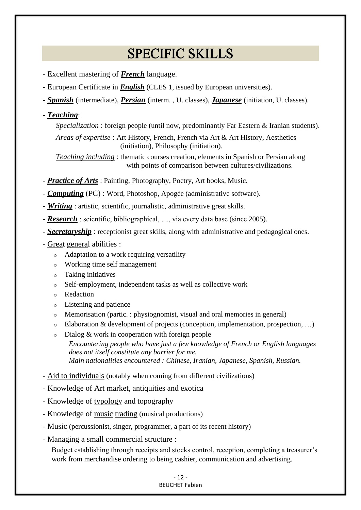## **SPECIFIC SKILLS**

- Excellent mastering of *French* language.
- European Certificate in *English* (CLES 1, issued by European universities).
- *Spanish* (intermediate), *Persian* (interm. , U. classes), *Japanese* (initiation, U. classes).
- *Teaching*:
	- *Specialization* : foreign people (until now, predominantly Far Eastern & Iranian students).

*Areas of expertise* : Art History, French, French via Art & Art History, Aesthetics (initiation), Philosophy (initiation).

*Teaching including* : thematic courses creation, elements in Spanish or Persian along with points of comparison between cultures/civilizations.

- *Practice of Arts* : Painting, Photography, Poetry, Art books, Music.
- *Computing* (PC) : Word, Photoshop, Apogée (administrative software).
- *Writing* : artistic, scientific, journalistic, administrative great skills.
- *Research* : scientific, bibliographical, …, via every data base (since 2005).
- *Secretaryship*: receptionist great skills, along with administrative and pedagogical ones.
- Great general abilities :
	- o Adaptation to a work requiring versatility
	- o Working time self management
	- o Taking initiatives
	- o Self-employment, independent tasks as well as collective work
	- o Redaction
	- o Listening and patience
	- o Memorisation (partic. : physiognomist, visual and oral memories in general)
	- $\circ$  Elaboration & development of projects (conception, implementation, prospection, ...)
	- o Dialog & work in cooperation with foreign people *Encountering people who have just a few knowledge of French or English languages does not itself constitute any barrier for me. Main nationalities encountered : Chinese, Iranian, Japanese, Spanish, Russian.*
- Aid to individuals (notably when coming from different civilizations)
- Knowledge of Art market, antiquities and exotica
- Knowledge of typology and topography
- Knowledge of music trading (musical productions)
- Music (percussionist, singer, programmer, a part of its recent history)
- Managing a small commercial structure :

Budget establishing through receipts and stocks control, reception, completing a treasurer's work from merchandise ordering to being cashier, communication and advertising.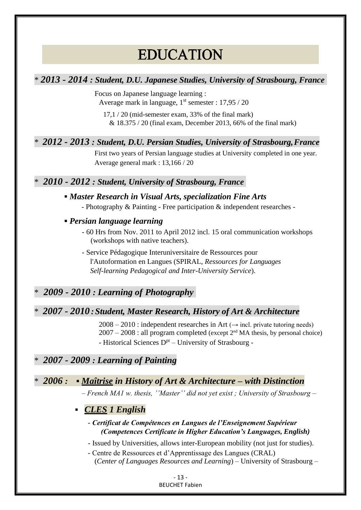## **EDUCATION**

### \* *2013 - 2014 : Student, D.U. Japanese Studies, University of Strasbourg, France*

Focus on Japanese language learning : Average mark in language,  $1<sup>st</sup>$  semester : 17,95 / 20

17,1 / 20 (mid-semester exam, 33% of the final mark)  $& 18.375 / 20$  (final exam, December 2013, 66% of the final mark)

## \* *2012 - 2013 : Student, D.U. Persian Studies, University of Strasbourg,France*

First two years of Persian language studies at University completed in one year. Average general mark : 13,166 / 20

#### \* *2010 - 2012 : Student, University of Strasbourg, France*

#### **▪** *Master Research in Visual Arts, specialization Fine Arts*

- Photography & Painting - Free participation & independent researches -

#### **▪** *Persian language learning*

- 60 Hrs from Nov. 2011 to April 2012 incl. 15 oral communication workshops (workshops with native teachers).

- Service Pédagogique Interuniversitaire de Ressources pour l'Autoformation en Langues (SPIRAL, *Ressources for Languages Self-learning Pedagogical and Inter-University Service*).

## \* *2009 - 2010 : Learning of Photography*

#### \* *2007 - 2010 :Student, Master Research, History of Art & Architecture*

 $2008 - 2010$ : independent researches in Art ( $\rightarrow$  incl. private tutoring needs)  $2007 - 2008$ : all program completed (except  $2<sup>nd</sup> MA$  thesis, by personal choice) - Historical Sciences D<sup>pt</sup> - University of Strasbourg -

#### \* *2007 - 2009 : Learning of Painting*

#### \* *2006 :* **▪** *Maîtrise in History of Art & Architecture – with Distinction*

*– French MA1 w. thesis, ''Master'' did not yet exist ; University of Strasbourg –*

#### **▪** *CLES 1 English*

#### - *Certificat de Compétences en Langues de l'Enseignement Supérieur (Competences Certificate in Higher Education's Languages, English)*

- Issued by Universities, allows inter-European mobility (not just for studies).

- Centre de Ressources et d'Apprentissage des Langues (CRAL) (*Center of Languages Resources and Learning*) – University of Strasbourg –

#### - 13 - BEUCHET Fabien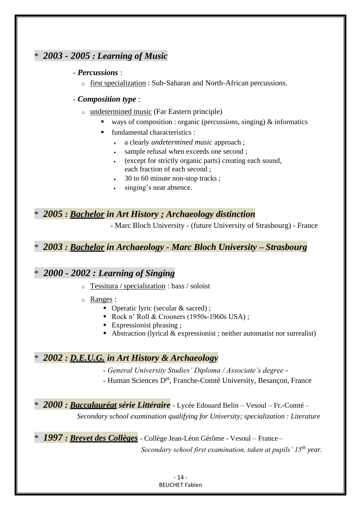## \* *2003 - 2005 : Learning of Music*

#### - *Percussions* :

o first specialization: Sub-Saharan and North-African percussions.

#### - *Composition type* :

- o undetermined music (Far Eastern principle)
	- ways of composition : organic (percussions, singing)  $\&$  informatics
	- fundamental characteristics :
		- a clearly *undetermined music* approach ;
		- sample refusal when exceeds one second ;
		- (except for strictly organic parts) creating each sound, each fraction of each second ;
		- 30 to 60 minute non-stop tracks ;
		- singing's near absence.

### \* *2005 : Bachelor in Art History ; Archaeology distinction*

- Marc Bloch University - (future University of Strasbourg) - France

### \* *2003 : Bachelor in Archaeology - Marc Bloch University – Strasbourg*

## \* *2000 - 2002 : Learning of Singing*

- o Tessitura / specialization : bass / soloist
- o Ranges :
	- Operatic lyric (secular & sacred);
	- Rock n' Roll & Crooners (1950s-1960s USA);
	- Expressionist phrasing ;
	- Abstraction (lyrical & expressionist ; neither automatist nor surrealist)

## \* *2002 : D.E.U.G. in Art History & Archaeology*

- *General University Studies' Diploma / Associate's degree -*
- Human Sciences D<sup>pt</sup>, Franche-Comté University, Besançon, France
- \* *2000 : Baccalauréat série Littéraire* Lycée Edouard Belin Vesoul Fr.-Comté *Secondary school examination qualifying for University; specialization : Literature*
- \* *1997 : Brevet des Collèges* Collège Jean-Léon Gérôme Vesoul France –

*Secondary school first examination, taken at pupils' 15th year.*

- 14 - BEUCHET Fabien